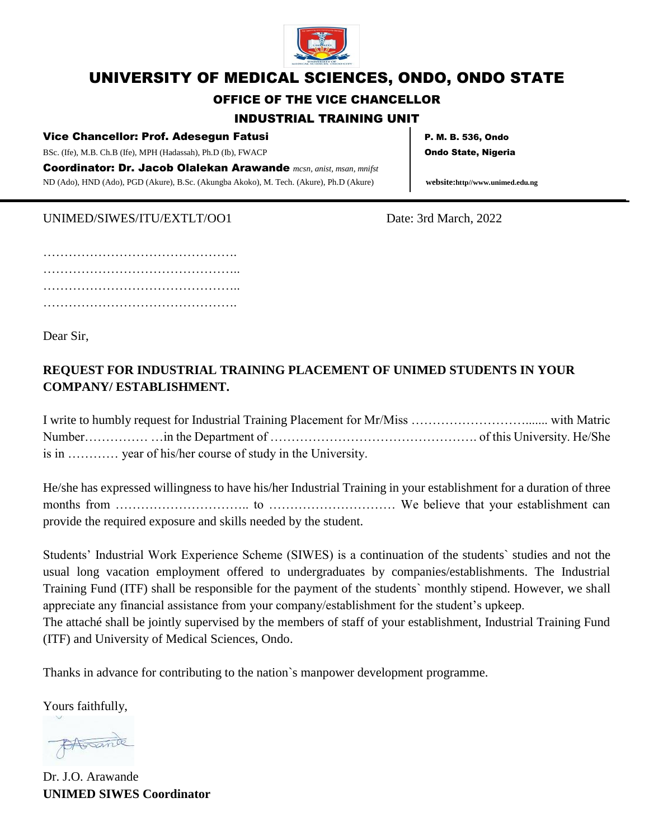

# UNIVERSITY OF MEDICAL SCIENCES, ONDO, ONDO STATE

#### OFFICE OF THE VICE CHANCELLOR

#### INDUSTRIAL TRAINING UNIT

#### Vice Chancellor: Prof. Adesegun Fatusi Procession Research Research P. M. B. 536, Ondo

BSc. (Ife), M.B. Ch.B (Ife), MPH (Hadassah), Ph.D (Ib), FWACP **Ondo State, Nigeria** 

Coordinator: Dr. Jacob Olalekan Arawande *mcsn, anist, msan, mnifst* ND (Ado), HND (Ado), PGD (Akure), B.Sc. (Akungba Akoko), M. Tech. (Akure), Ph.D (Akure) **website:http//www.unimed.edu.ng**

#### UNIMED/SIWES/ITU/EXTLT/OO1 Date: 3rd March, 2022

………………………………………. ……………………………………….. ……………………………………….. ……………………………………….

Dear Sir,

### **REQUEST FOR INDUSTRIAL TRAINING PLACEMENT OF UNIMED STUDENTS IN YOUR COMPANY/ ESTABLISHMENT.**

I write to humbly request for Industrial Training Placement for Mr/Miss ………………………....... with Matric Number…………… …in the Department of …………………………………………. of this University. He/She is in ………… year of his/her course of study in the University.

He/she has expressed willingness to have his/her Industrial Training in your establishment for a duration of three months from ………………………….. to ………………………… We believe that your establishment can provide the required exposure and skills needed by the student.

Students' Industrial Work Experience Scheme (SIWES) is a continuation of the students` studies and not the usual long vacation employment offered to undergraduates by companies/establishments. The Industrial Training Fund (ITF) shall be responsible for the payment of the students` monthly stipend. However, we shall appreciate any financial assistance from your company/establishment for the student's upkeep. The attaché shall be jointly supervised by the members of staff of your establishment, Industrial Training Fund (ITF) and University of Medical Sciences, Ondo.

Thanks in advance for contributing to the nation`s manpower development programme.

Yours faithfully,

Atisande

Dr. J.O. Arawande **UNIMED SIWES Coordinator**